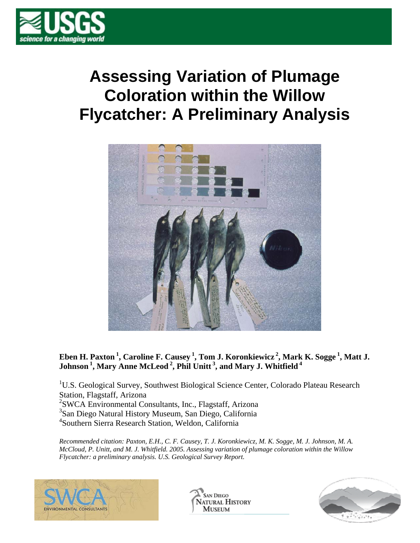

# **Assessing Variation of Plumage Coloration within the Willow Flycatcher: A Preliminary Analysis**



### **Eben H. Paxton 1, Caroline F. Causey 1, Tom J. Koronkiewicz 2, Mark K. Sogge 1, Matt J. Johnson 1, Mary Anne McLeod 2, Phil Unitt 3, and Mary J. Whitfield 4**

<sup>1</sup>U.S. Geological Survey, Southwest Biological Science Center, Colorado Plateau Research Station, Flagstaff, Arizona 2 SWCA Environmental Consultants, Inc., Flagstaff, Arizona 3 San Diego Natural History Museum, San Diego, California 4 Southern Sierra Research Station, Weldon, California

*Recommended citation: Paxton, E.H., C. F. Causey, T. J. Koronkiewicz, M. K. Sogge, M. J. Johnson, M. A. McCloud, P. Unitt, and M. J. Whitfield. 2005. Assessing variation of plumage coloration within the Willow Flycatcher: a preliminary analysis. U.S. Geological Survey Report.* 



**SAN DIEGO ATURAL HISTORY MUSEUM** 

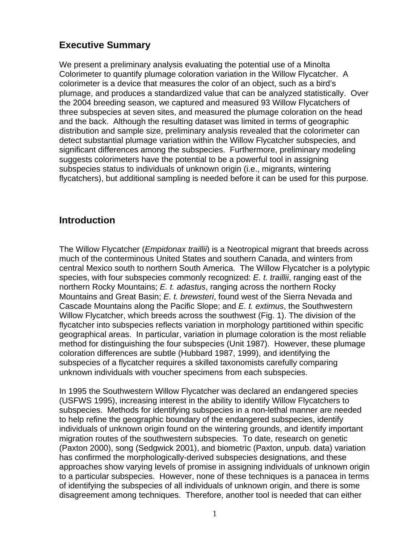# **Executive Summary**

We present a preliminary analysis evaluating the potential use of a Minolta Colorimeter to quantify plumage coloration variation in the Willow Flycatcher. A colorimeter is a device that measures the color of an object, such as a bird's plumage, and produces a standardized value that can be analyzed statistically. Over the 2004 breeding season, we captured and measured 93 Willow Flycatchers of three subspecies at seven sites, and measured the plumage coloration on the head and the back. Although the resulting dataset was limited in terms of geographic distribution and sample size, preliminary analysis revealed that the colorimeter can detect substantial plumage variation within the Willow Flycatcher subspecies, and significant differences among the subspecies. Furthermore, preliminary modeling suggests colorimeters have the potential to be a powerful tool in assigning subspecies status to individuals of unknown origin (i.e., migrants, wintering flycatchers), but additional sampling is needed before it can be used for this purpose.

## **Introduction**

The Willow Flycatcher (*Empidonax traillii*) is a Neotropical migrant that breeds across much of the conterminous United States and southern Canada, and winters from central Mexico south to northern South America. The Willow Flycatcher is a polytypic species, with four subspecies commonly recognized: *E. t. traillii*, ranging east of the northern Rocky Mountains; *E. t. adastus*, ranging across the northern Rocky Mountains and Great Basin; *E. t. brewsteri*, found west of the Sierra Nevada and Cascade Mountains along the Pacific Slope; and *E. t. extimus*, the Southwestern Willow Flycatcher, which breeds across the southwest (Fig. 1). The division of the flycatcher into subspecies reflects variation in morphology partitioned within specific geographical areas. In particular, variation in plumage coloration is the most reliable method for distinguishing the four subspecies (Unit 1987). However, these plumage coloration differences are subtle (Hubbard 1987, 1999), and identifying the subspecies of a flycatcher requires a skilled taxonomists carefully comparing unknown individuals with voucher specimens from each subspecies.

In 1995 the Southwestern Willow Flycatcher was declared an endangered species (USFWS 1995), increasing interest in the ability to identify Willow Flycatchers to subspecies. Methods for identifying subspecies in a non-lethal manner are needed to help refine the geographic boundary of the endangered subspecies, identify individuals of unknown origin found on the wintering grounds, and identify important migration routes of the southwestern subspecies. To date, research on genetic (Paxton 2000), song (Sedgwick 2001), and biometric (Paxton, unpub. data) variation has confirmed the morphologically-derived subspecies designations, and these approaches show varying levels of promise in assigning individuals of unknown origin to a particular subspecies. However, none of these techniques is a panacea in terms of identifying the subspecies of all individuals of unknown origin, and there is some disagreement among techniques. Therefore, another tool is needed that can either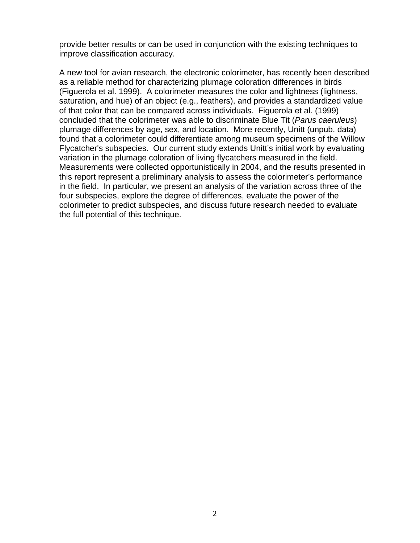provide better results or can be used in conjunction with the existing techniques to improve classification accuracy.

A new tool for avian research, the electronic colorimeter, has recently been described as a reliable method for characterizing plumage coloration differences in birds (Figuerola et al. 1999). A colorimeter measures the color and lightness (lightness, saturation, and hue) of an object (e.g., feathers), and provides a standardized value of that color that can be compared across individuals. Figuerola et al. (1999) concluded that the colorimeter was able to discriminate Blue Tit (*Parus caeruleus*) plumage differences by age, sex, and location. More recently, Unitt (unpub. data) found that a colorimeter could differentiate among museum specimens of the Willow Flycatcher's subspecies. Our current study extends Unitt's initial work by evaluating variation in the plumage coloration of living flycatchers measured in the field. Measurements were collected opportunistically in 2004, and the results presented in this report represent a preliminary analysis to assess the colorimeter's performance in the field. In particular, we present an analysis of the variation across three of the four subspecies, explore the degree of differences, evaluate the power of the colorimeter to predict subspecies, and discuss future research needed to evaluate the full potential of this technique.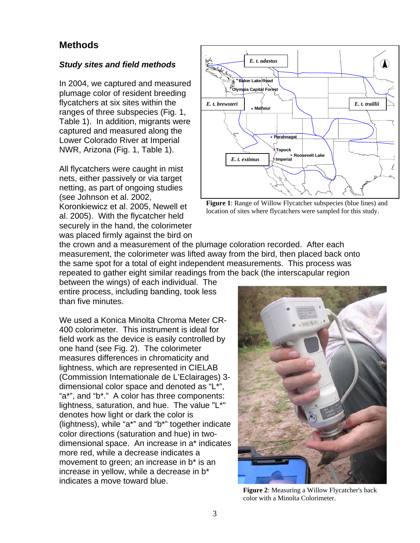## **Methods**

#### *Study sites and field methods*

In 2004, we captured and measured plumage color of resident breeding flycatchers at six sites within the ranges of three subspecies (Fig. 1, Table 1). In addition, migrants were captured and measured along the Lower Colorado River at Imperial NWR, Arizona (Fig. 1, Table 1).

All flycatchers were caught in mist nets, either passively or via target netting, as part of ongoing studies (see Johnson et al. 2002, Koronkiewicz et al. 2005, Newell et al. 2005). With the flycatcher held securely in the hand, the colorimeter was placed firmly against the bird on



**Figure 1**: Range of Willow Flycatcher subspecies (blue lines) and location of sites where flycatchers were sampled for this study.

the crown and a measurement of the plumage coloration recorded. After each measurement, the colorimeter was lifted away from the bird, then placed back onto the same spot for a total of eight independent measurements. This process was repeated to gather eight similar readings from the back (the interscapular region

between the wings) of each individual. The entire process, including banding, took less than five minutes.

We used a Konica Minolta Chroma Meter CR-400 colorimeter. This instrument is ideal for field work as the device is easily controlled by one hand (see Fig. 2). The colorimeter measures differences in chromaticity and lightness, which are represented in CIELAB (Commission Internationale de L'Eclairages) 3 dimensional color space and denoted as "L\*", "a\*", and "b\*." A color has three components: lightness, saturation, and hue. The value "L\*" denotes how light or dark the color is (lightness), while "a\*" and "b\*" together indicate color directions (saturation and hue) in twodimensional space. An increase in a\* indicates more red, while a decrease indicates a movement to green; an increase in b\* is an increase in yellow, while a decrease in b\* indicates a move toward blue.



**Figure 2**: Measuring a Willow Flycatcher's back color with a Minolta Colorimeter.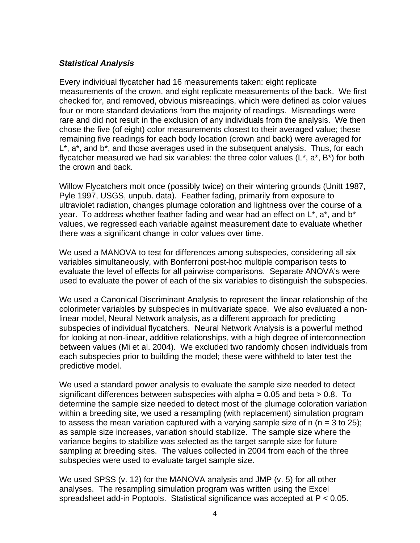#### *Statistical Analysis*

Every individual flycatcher had 16 measurements taken: eight replicate measurements of the crown, and eight replicate measurements of the back. We first checked for, and removed, obvious misreadings, which were defined as color values four or more standard deviations from the majority of readings. Misreadings were rare and did not result in the exclusion of any individuals from the analysis. We then chose the five (of eight) color measurements closest to their averaged value; these remaining five readings for each body location (crown and back) were averaged for L\*, a\*, and b\*, and those averages used in the subsequent analysis. Thus, for each flycatcher measured we had six variables: the three color values  $(L^*, a^*, B^*)$  for both the crown and back.

Willow Flycatchers molt once (possibly twice) on their wintering grounds (Unitt 1987, Pyle 1997, USGS, unpub. data). Feather fading, primarily from exposure to ultraviolet radiation, changes plumage coloration and lightness over the course of a year. To address whether feather fading and wear had an effect on L\*, a\*, and b\* values, we regressed each variable against measurement date to evaluate whether there was a significant change in color values over time.

We used a MANOVA to test for differences among subspecies, considering all six variables simultaneously, with Bonferroni post-hoc multiple comparison tests to evaluate the level of effects for all pairwise comparisons. Separate ANOVA's were used to evaluate the power of each of the six variables to distinguish the subspecies.

We used a Canonical Discriminant Analysis to represent the linear relationship of the colorimeter variables by subspecies in multivariate space. We also evaluated a nonlinear model, Neural Network analysis, as a different approach for predicting subspecies of individual flycatchers. Neural Network Analysis is a powerful method for looking at non-linear, additive relationships, with a high degree of interconnection between values (Mi et al. 2004). We excluded two randomly chosen individuals from each subspecies prior to building the model; these were withheld to later test the predictive model.

We used a standard power analysis to evaluate the sample size needed to detect significant differences between subspecies with alpha  $= 0.05$  and beta  $> 0.8$ . To determine the sample size needed to detect most of the plumage coloration variation within a breeding site, we used a resampling (with replacement) simulation program to assess the mean variation captured with a varying sample size of n  $(n = 3$  to 25); as sample size increases, variation should stabilize. The sample size where the variance begins to stabilize was selected as the target sample size for future sampling at breeding sites. The values collected in 2004 from each of the three subspecies were used to evaluate target sample size.

We used SPSS (v. 12) for the MANOVA analysis and JMP (v. 5) for all other analyses. The resampling simulation program was written using the Excel spreadsheet add-in Poptools. Statistical significance was accepted at P < 0.05.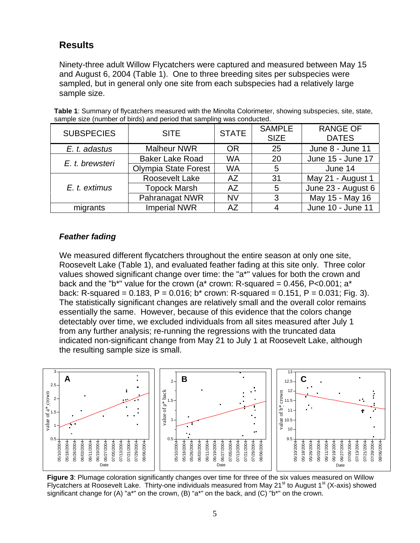# **Results**

Ninety-three adult Willow Flycatchers were captured and measured between May 15 and August 6, 2004 (Table 1). One to three breeding sites per subspecies were sampled, but in general only one site from each subspecies had a relatively large sample size.

| <b>SUBSPECIES</b> | <b>SITE</b>                 | <b>STATE</b> | <b>SAMPLE</b><br><b>SIZE</b> | <b>RANGE OF</b><br><b>DATES</b> |
|-------------------|-----------------------------|--------------|------------------------------|---------------------------------|
| E. t. adastus     | <b>Malheur NWR</b>          | <b>OR</b>    | 25                           | June 8 - June 11                |
| E. t. brewsteri   | <b>Baker Lake Road</b>      | <b>WA</b>    | 20                           | June 15 - June 17               |
|                   | <b>Olympia State Forest</b> | <b>WA</b>    | 5                            | June 14                         |
|                   | Roosevelt Lake              | AZ           | 31                           | May 21 - August 1               |
| E. t. extimus     | <b>Topock Marsh</b>         | <b>AZ</b>    | 5                            | June 23 - August 6              |
|                   | Pahranagat NWR              | <b>NV</b>    | 3                            | May 15 - May 16                 |
| migrants          | <b>Imperial NWR</b>         | AZ           | 4                            | June 10 - June 11               |

**Table 1**: Summary of flycatchers measured with the Minolta Colorimeter, showing subspecies, site, state, sample size (number of birds) and period that sampling was conducted.

#### *Feather fading*

We measured different flycatchers throughout the entire season at only one site, Roosevelt Lake (Table 1), and evaluated feather fading at this site only. Three color values showed significant change over time: the "a\*" values for both the crown and back and the "b\*" value for the crown (a\* crown: R-squared =  $0.456$ , P<0.001; a\* back: R-squared = 0.183, P = 0.016; b\* crown: R-squared = 0.151, P = 0.031; Fig. 3). The statistically significant changes are relatively small and the overall color remains essentially the same. However, because of this evidence that the colors change detectably over time, we excluded individuals from all sites measured after July 1 from any further analysis; re-running the regressions with the truncated data indicated non-significant change from May 21 to July 1 at Roosevelt Lake, although the resulting sample size is small.



**Figure 3**: Plumage coloration significantly changes over time for three of the six values measured on Willow Flycatchers at Roosevelt Lake. Thirty-one individuals measured from May 21<sup>st</sup> to August 1<sup>st</sup> (X-axis) showed significant change for (A) "a\*" on the crown, (B) "a\*" on the back, and (C) "b\*" on the crown.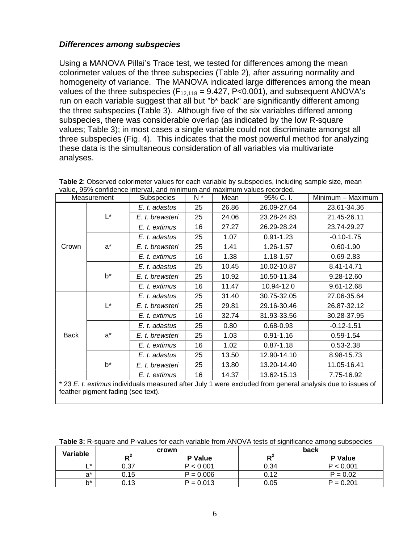#### *Differences among subspecies*

Using a MANOVA Pillai's Trace test, we tested for differences among the mean colorimeter values of the three subspecies (Table 2), after assuring normality and homogeneity of variance. The MANOVA indicated large differences among the mean values of the three subspecies ( $F_{12,118} = 9.427$ ,  $P < 0.001$ ), and subsequent ANOVA's run on each variable suggest that all but "b\* back" are significantly different among the three subspecies (Table 3). Although five of the six variables differed among subspecies, there was considerable overlap (as indicated by the low R-square values; Table 3); in most cases a single variable could not discriminate amongst all three subspecies (Fig. 4). This indicates that the most powerful method for analyzing these data is the simultaneous consideration of all variables via multivariate analyses.

|                                                                                                                                                 | $N^*$<br>Subspecies<br>95% C.I.<br>Mean<br>Measurement |                 | Minimum - Maximum |       |               |                |
|-------------------------------------------------------------------------------------------------------------------------------------------------|--------------------------------------------------------|-----------------|-------------------|-------|---------------|----------------|
| Crown                                                                                                                                           | $\mathsf{L}^\star$                                     | E. t. adastus   | 25                | 26.86 | 26.09-27.64   | 23.61-34.36    |
|                                                                                                                                                 |                                                        | E. t. brewsteri | 25                | 24.06 | 23.28-24.83   | 21.45-26.11    |
|                                                                                                                                                 |                                                        | E. t. extimus   | 16                | 27.27 | 26.29-28.24   | 23.74-29.27    |
|                                                                                                                                                 | $a^*$                                                  | E. t. adastus   | 25                | 1.07  | $0.91 - 1.23$ | $-0.10 - 1.75$ |
|                                                                                                                                                 |                                                        | E. t. brewsteri | 25                | 1.41  | 1.26-1.57     | $0.60 - 1.90$  |
|                                                                                                                                                 |                                                        | E. t. extimus   | 16                | 1.38  | 1.18-1.57     | $0.69 - 2.83$  |
|                                                                                                                                                 | $b^*$                                                  | E. t. adastus   | 25                | 10.45 | 10.02-10.87   | 8.41-14.71     |
|                                                                                                                                                 |                                                        | E. t. brewsteri | 25                | 10.92 | 10.50-11.34   | 9.28-12.60     |
|                                                                                                                                                 |                                                        | E. t. extimus   | 16                | 11.47 | 10.94-12.0    | 9.61-12.68     |
| <b>Back</b>                                                                                                                                     | L*                                                     | E. t. adastus   | 25                | 31.40 | 30.75-32.05   | 27.06-35.64    |
|                                                                                                                                                 |                                                        | E. t. brewsteri | 25                | 29.81 | 29.16-30.46   | 26.87-32.12    |
|                                                                                                                                                 |                                                        | E. t. extimus   | 16                | 32.74 | 31.93-33.56   | 30.28-37.95    |
|                                                                                                                                                 | $a^*$                                                  | E. t. adastus   | 25                | 0.80  | $0.68 - 0.93$ | $-0.12 - 1.51$ |
|                                                                                                                                                 |                                                        | E. t. brewsteri | 25                | 1.03  | $0.91 - 1.16$ | $0.59 - 1.54$  |
|                                                                                                                                                 |                                                        | E. t. extimus   | 16                | 1.02  | $0.87 - 1.18$ | $0.53 - 2.38$  |
|                                                                                                                                                 | b*                                                     | E. t. adastus   | 25                | 13.50 | 12.90-14.10   | 8.98-15.73     |
|                                                                                                                                                 |                                                        | E. t. brewsteri | 25                | 13.80 | 13.20-14.40   | 11.05-16.41    |
|                                                                                                                                                 |                                                        | E. t. extimus   | 16                | 14.37 | 13.62-15.13   | 7.75-16.92     |
| * 23 E. t. extimus individuals measured after July 1 were excluded from general analysis due to issues of<br>feather pigment fading (see text). |                                                        |                 |                   |       |               |                |

|  | Table 2: Observed colorimeter values for each variable by subspecies, including sample size, mean |  |
|--|---------------------------------------------------------------------------------------------------|--|
|  | value, 95% confidence interval, and minimum and maximum values recorded.                          |  |

**Table 3:** R-square and P-values for each variable from ANOVA tests of significance among subspecies

| Variable |      | crown       | back |                |  |
|----------|------|-------------|------|----------------|--|
|          |      | P Value     |      | <b>P</b> Value |  |
| -        | 0.37 | P < 0.001   | 0.34 | P < 0.001      |  |
| a*       | 0.15 | $P = 0.006$ | 0.12 | $P = 0.02$     |  |
| h*       | 0.13 | $P = 0.013$ | 0.05 | $P = 0.201$    |  |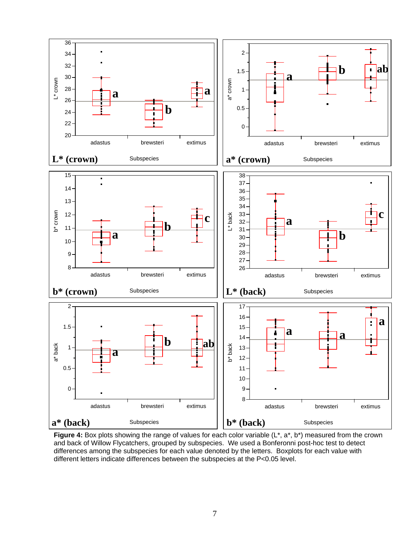

**Figure 4:** Box plots showing the range of values for each color variable (L\*, a\*, b\*) measured from the crown and back of Willow Flycatchers, grouped by subspecies. We used a Bonferonni post-hoc test to detect differences among the subspecies for each value denoted by the letters. Boxplots for each value with different letters indicate differences between the subspecies at the P<0.05 level.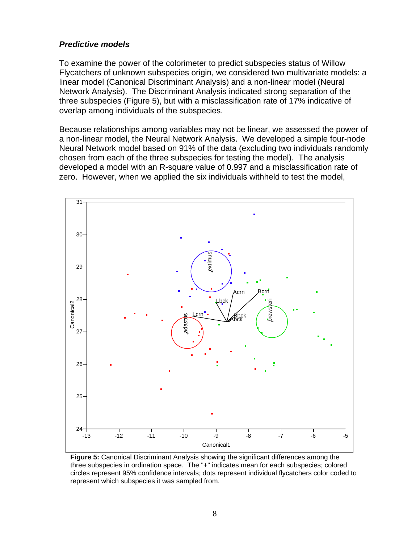#### *Predictive models*

To examine the power of the colorimeter to predict subspecies status of Willow Flycatchers of unknown subspecies origin, we considered two multivariate models: a linear model (Canonical Discriminant Analysis) and a non-linear model (Neural Network Analysis). The Discriminant Analysis indicated strong separation of the three subspecies (Figure 5), but with a misclassification rate of 17% indicative of overlap among individuals of the subspecies.

Because relationships among variables may not be linear, we assessed the power of a non-linear model, the Neural Network Analysis. We developed a simple four-node Neural Network model based on 91% of the data (excluding two individuals randomly chosen from each of the three subspecies for testing the model). The analysis developed a model with an R-square value of 0.997 and a misclassification rate of zero. However, when we applied the six individuals withheld to test the model,



**Figure 5:** Canonical Discriminant Analysis showing the significant differences among the three subspecies in ordination space. The "+" indicates mean for each subspecies; colored circles represent 95% confidence intervals; dots represent individual flycatchers color coded t o represent which subspecies it was sampled from.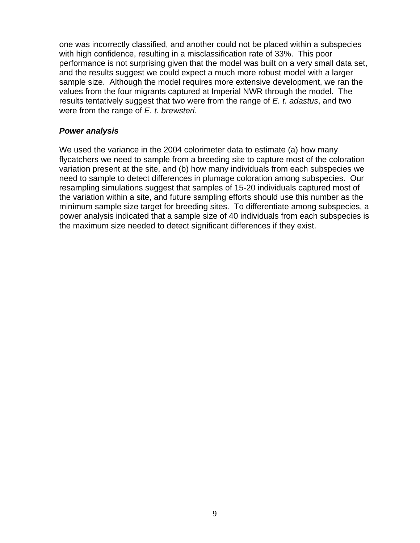one was incorrectly classified, and another could not be placed within a subspecies with high confidence, resulting in a misclassification rate of 33%. This poor performance is not surprising given that the model was built on a very small data set, and the results suggest we could expect a much more robust model with a larger sample size. Although the model requires more extensive development, we ran the values from the four migrants captured at Imperial NWR through the model. The results tentatively suggest that two were from the range of *E. t. adastus*, and two were from the range of *E. t. brewsteri*.

#### *Power analysis*

We used the variance in the 2004 colorimeter data to estimate (a) how many flycatchers we need to sample from a breeding site to capture most of the coloration variation present at the site, and (b) how many individuals from each subspecies we need to sample to detect differences in plumage coloration among subspecies. Our resampling simulations suggest that samples of 15-20 individuals captured most of the variation within a site, and future sampling efforts should use this number as the minimum sample size target for breeding sites. To differentiate among subspecies, a power analysis indicated that a sample size of 40 individuals from each subspecies is the maximum size needed to detect significant differences if they exist.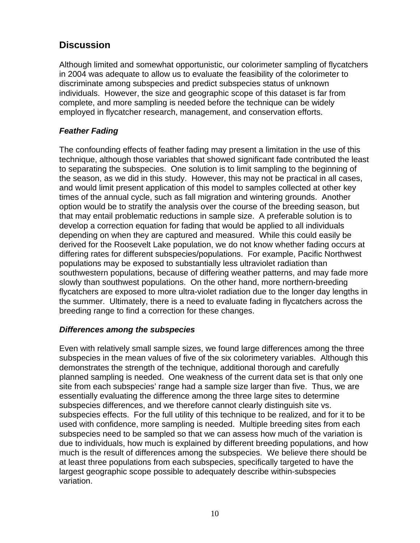## **Discussion**

Although limited and somewhat opportunistic, our colorimeter sampling of flycatchers in 2004 was adequate to allow us to evaluate the feasibility of the colorimeter to discriminate among subspecies and predict subspecies status of unknown individuals. However, the size and geographic scope of this dataset is far from complete, and more sampling is needed before the technique can be widely employed in flycatcher research, management, and conservation efforts.

#### *Feather Fading*

The confounding effects of feather fading may present a limitation in the use of this technique, although those variables that showed significant fade contributed the least to separating the subspecies. One solution is to limit sampling to the beginning of the season, as we did in this study. However, this may not be practical in all cases, and would limit present application of this model to samples collected at other key times of the annual cycle, such as fall migration and wintering grounds. Another option would be to stratify the analysis over the course of the breeding season, but that may entail problematic reductions in sample size. A preferable solution is to develop a correction equation for fading that would be applied to all individuals depending on when they are captured and measured. While this could easily be derived for the Roosevelt Lake population, we do not know whether fading occurs at differing rates for different subspecies/populations. For example, Pacific Northwest populations may be exposed to substantially less ultraviolet radiation than southwestern populations, because of differing weather patterns, and may fade more slowly than southwest populations. On the other hand, more northern-breeding flycatchers are exposed to more ultra-violet radiation due to the longer day lengths in the summer. Ultimately, there is a need to evaluate fading in flycatchers across the breeding range to find a correction for these changes.

#### *Differences among the subspecies*

Even with relatively small sample sizes, we found large differences among the three subspecies in the mean values of five of the six colorimetery variables. Although this demonstrates the strength of the technique, additional thorough and carefully planned sampling is needed. One weakness of the current data set is that only one site from each subspecies' range had a sample size larger than five. Thus, we are essentially evaluating the difference among the three large sites to determine subspecies differences, and we therefore cannot clearly distinguish site vs. subspecies effects. For the full utility of this technique to be realized, and for it to be used with confidence, more sampling is needed. Multiple breeding sites from each subspecies need to be sampled so that we can assess how much of the variation is due to individuals, how much is explained by different breeding populations, and how much is the result of differences among the subspecies. We believe there should be at least three populations from each subspecies, specifically targeted to have the largest geographic scope possible to adequately describe within-subspecies variation.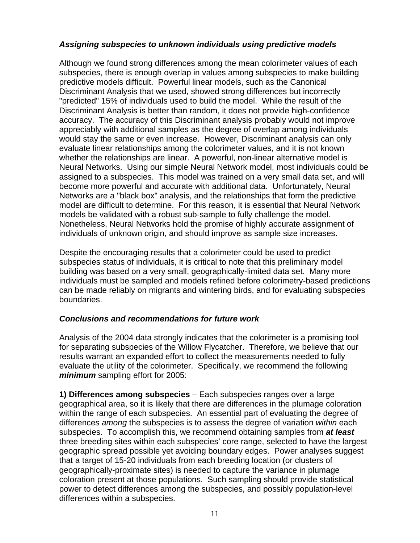#### *Assigning subspecies to unknown individuals using predictive models*

Although we found strong differences among the mean colorimeter values of each subspecies, there is enough overlap in values among subspecies to make building predictive models difficult. Powerful linear models, such as the Canonical Discriminant Analysis that we used, showed strong differences but incorrectly "predicted" 15% of individuals used to build the model. While the result of the Discriminant Analysis is better than random, it does not provide high-confidence accuracy. The accuracy of this Discriminant analysis probably would not improve appreciably with additional samples as the degree of overlap among individuals would stay the same or even increase. However, Discriminant analysis can only evaluate linear relationships among the colorimeter values, and it is not known whether the relationships are linear. A powerful, non-linear alternative model is Neural Networks. Using our simple Neural Network model, most individuals could be assigned to a subspecies. This model was trained on a very small data set, and will become more powerful and accurate with additional data. Unfortunately, Neural Networks are a "black box" analysis, and the relationships that form the predictive model are difficult to determine. For this reason, it is essential that Neural Network models be validated with a robust sub-sample to fully challenge the model. Nonetheless, Neural Networks hold the promise of highly accurate assignment of individuals of unknown origin, and should improve as sample size increases.

Despite the encouraging results that a colorimeter could be used to predict subspecies status of individuals, it is critical to note that this preliminary model building was based on a very small, geographically-limited data set. Many more individuals must be sampled and models refined before colorimetry-based predictions can be made reliably on migrants and wintering birds, and for evaluating subspecies boundaries.

#### *Conclusions and recommendations for future work*

Analysis of the 2004 data strongly indicates that the colorimeter is a promising tool for separating subspecies of the Willow Flycatcher. Therefore, we believe that our results warrant an expanded effort to collect the measurements needed to fully evaluate the utility of the colorimeter. Specifically, we recommend the following *minimum* sampling effort for 2005:

**1) Differences among subspecies** – Each subspecies ranges over a large geographical area, so it is likely that there are differences in the plumage coloration within the range of each subspecies. An essential part of evaluating the degree of differences *among* the subspecies is to assess the degree of variation *within* each subspecies. To accomplish this, we recommend obtaining samples from *at least*  three breeding sites within each subspecies' core range, selected to have the largest geographic spread possible yet avoiding boundary edges. Power analyses suggest that a target of 15-20 individuals from each breeding location (or clusters of geographically-proximate sites) is needed to capture the variance in plumage coloration present at those populations. Such sampling should provide statistical power to detect differences among the subspecies, and possibly population-level differences within a subspecies.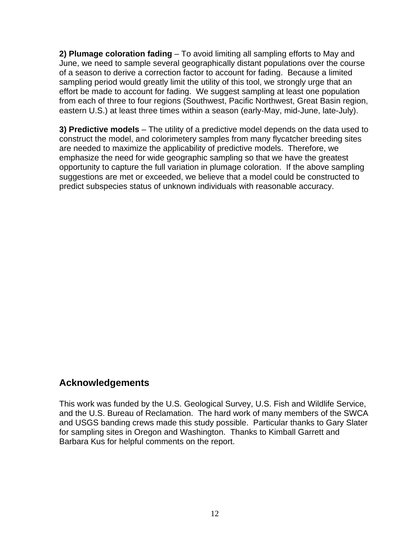**2) Plumage coloration fading** – To avoid limiting all sampling efforts to May and June, we need to sample several geographically distant populations over the course of a season to derive a correction factor to account for fading. Because a limited sampling period would greatly limit the utility of this tool, we strongly urge that an effort be made to account for fading. We suggest sampling at least one population from each of three to four regions (Southwest, Pacific Northwest, Great Basin region, eastern U.S.) at least three times within a season (early-May, mid-June, late-July).

**3) Predictive models** – The utility of a predictive model depends on the data used to construct the model, and colorimetery samples from many flycatcher breeding sites are needed to maximize the applicability of predictive models. Therefore, we emphasize the need for wide geographic sampling so that we have the greatest opportunity to capture the full variation in plumage coloration. If the above sampling suggestions are met or exceeded, we believe that a model could be constructed to predict subspecies status of unknown individuals with reasonable accuracy.

# **Acknowledgements**

This work was funded by the U.S. Geological Survey, U.S. Fish and Wildlife Service, and the U.S. Bureau of Reclamation. The hard work of many members of the SWCA and USGS banding crews made this study possible. Particular thanks to Gary Slater for sampling sites in Oregon and Washington. Thanks to Kimball Garrett and Barbara Kus for helpful comments on the report.